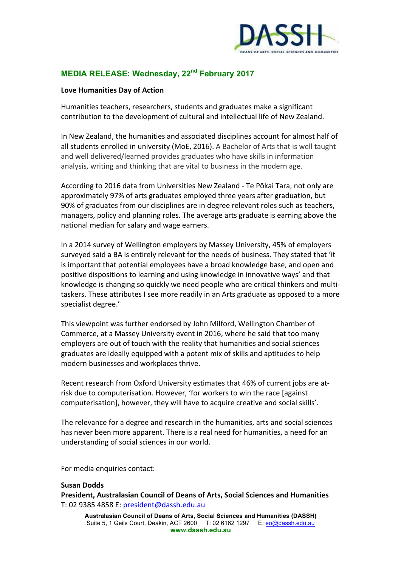

## **MEDIA RELEASE: Wednesday, 22nd February 2017**

## Love Humanities Day of Action

Humanities teachers, researchers, students and graduates make a significant contribution to the development of cultural and intellectual life of New Zealand.

In New Zealand, the humanities and associated disciplines account for almost half of all students enrolled in university (MoE, 2016). A Bachelor of Arts that is well taught and well delivered/learned provides graduates who have skills in information analysis, writing and thinking that are vital to business in the modern age.

According to 2016 data from Universities New Zealand - Te Pōkai Tara, not only are approximately 97% of arts graduates employed three years after graduation, but 90% of graduates from our disciplines are in degree relevant roles such as teachers, managers, policy and planning roles. The average arts graduate is earning above the national median for salary and wage earners.

In a 2014 survey of Wellington employers by Massey University, 45% of employers surveyed said a BA is entirely relevant for the needs of business. They stated that 'it is important that potential employees have a broad knowledge base, and open and positive dispositions to learning and using knowledge in innovative ways' and that knowledge is changing so quickly we need people who are critical thinkers and multitaskers. These attributes I see more readily in an Arts graduate as opposed to a more specialist degree.'

This viewpoint was further endorsed by John Milford, Wellington Chamber of Commerce, at a Massey University event in 2016, where he said that too many employers are out of touch with the reality that humanities and social sciences graduates are ideally equipped with a potent mix of skills and aptitudes to help modern businesses and workplaces thrive.

Recent research from Oxford University estimates that 46% of current jobs are atrisk due to computerisation. However, 'for workers to win the race [against computerisation], however, they will have to acquire creative and social skills'.

The relevance for a degree and research in the humanities, arts and social sciences has never been more apparent. There is a real need for humanities, a need for an understanding of social sciences in our world.

For media enquiries contact:

## **Susan Dodds**

**President, Australasian Council of Deans of Arts, Social Sciences and Humanities** T: 02 9385 4858 E: president@dassh.edu.au